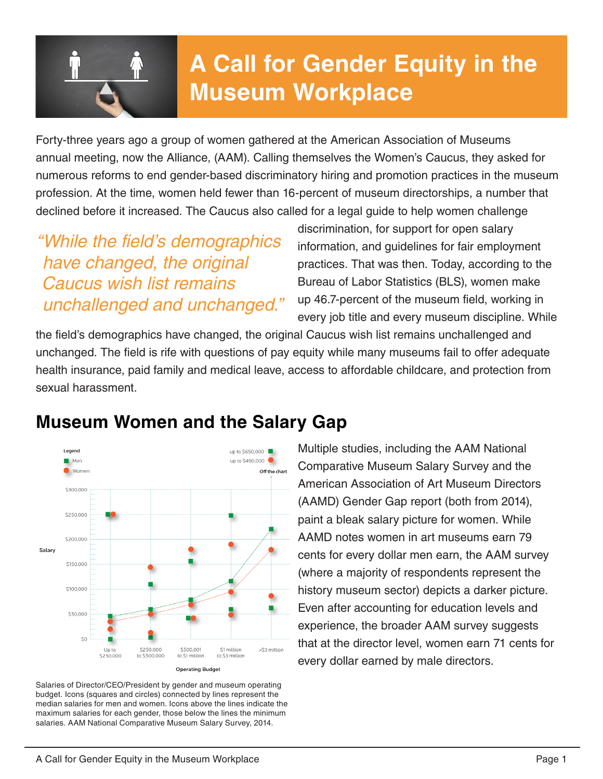

# **A Call for Gender Equity in the Museum Workplace**

Forty-three years ago a group of women gathered at the American Association of Museums annual meeting, now the Alliance, (AAM). Calling themselves the Women's Caucus, they asked for numerous reforms to end gender-based discriminatory hiring and promotion practices in the museum profession. At the time, women held fewer than 16-percent of museum directorships, a number that declined before it increased. The Caucus also called for a legal guide to help women challenge

*"While the field's demographics have changed, the original Caucus wish list remains unchallenged and unchanged."* discrimination, for support for open salary information, and guidelines for fair employment practices. That was then. Today, according to the Bureau of Labor Statistics (BLS), women make up 46.7-percent of the museum field, working in every job title and every museum discipline. While

the field's demographics have changed, the original Caucus wish list remains unchallenged and unchanged. The field is rife with questions of pay equity while many museums fail to offer adequate health insurance, paid family and medical leave, access to affordable childcare, and protection from sexual harassment.

### **Museum Women and the Salary Gap**



Salaries of Director/CEO/President by gender and museum operating budget. Icons (squares and circles) connected by lines represent the median salaries for men and women. Icons above the lines indicate the maximum salaries for each gender, those below the lines the minimum salaries. AAM National Comparative Museum Salary Survey, 2014.

Multiple studies, including the AAM National Comparative Museum Salary Survey and the American Association of Art Museum Directors (AAMD) Gender Gap report (both from 2014), paint a bleak salary picture for women. While AAMD notes women in art museums earn 79 cents for every dollar men earn, the AAM survey (where a majority of respondents represent the history museum sector) depicts a darker picture. Even after accounting for education levels and experience, the broader AAM survey suggests that at the director level, women earn 71 cents for every dollar earned by male directors.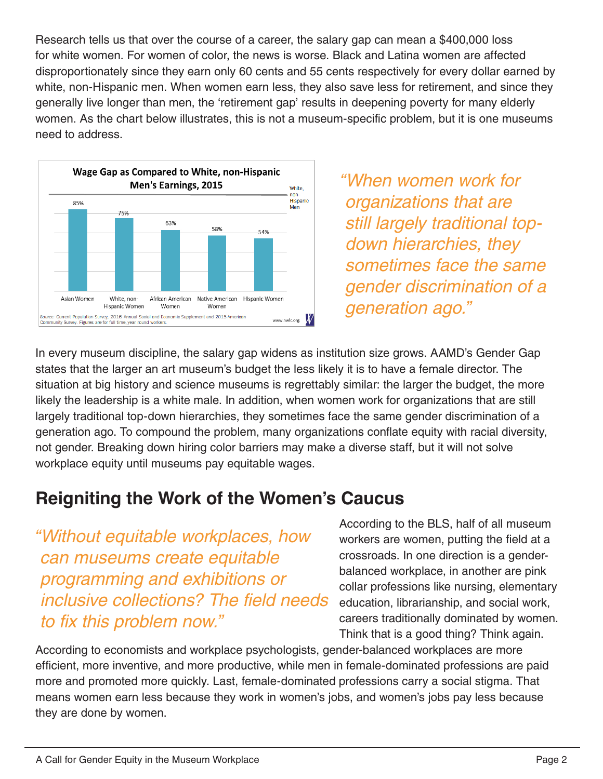Research tells us that over the course of a career, the salary gap can mean a \$400,000 loss for white women. For women of color, the news is worse. Black and Latina women are affected disproportionately since they earn only 60 cents and 55 cents respectively for every dollar earned by white, non-Hispanic men. When women earn less, they also save less for retirement, and since they generally live longer than men, the 'retirement gap' results in deepening poverty for many elderly women. As the chart below illustrates, this is not a museum-specific problem, but it is one museums need to address.



*"When women work for organizations that are still largely traditional topdown hierarchies, they sometimes face the same gender discrimination of a generation ago."*

In every museum discipline, the salary gap widens as institution size grows. AAMD's Gender Gap states that the larger an art museum's budget the less likely it is to have a female director. The situation at big history and science museums is regrettably similar: the larger the budget, the more likely the leadership is a white male. In addition, when women work for organizations that are still largely traditional top-down hierarchies, they sometimes face the same gender discrimination of a generation ago. To compound the problem, many organizations conflate equity with racial diversity, not gender. Breaking down hiring color barriers may make a diverse staff, but it will not solve workplace equity until museums pay equitable wages.

### **Reigniting the Work of the Women's Caucus**

*"Without equitable workplaces, how can museums create equitable programming and exhibitions or inclusive collections? The field needs to fix this problem now."*

According to the BLS, half of all museum workers are women, putting the field at a crossroads. In one direction is a genderbalanced workplace, in another are pink collar professions like nursing, elementary education, librarianship, and social work, careers traditionally dominated by women. Think that is a good thing? Think again.

According to economists and workplace psychologists, gender-balanced workplaces are more efficient, more inventive, and more productive, while men in female-dominated professions are paid more and promoted more quickly. Last, female-dominated professions carry a social stigma. That means women earn less because they work in women's jobs, and women's jobs pay less because they are done by women.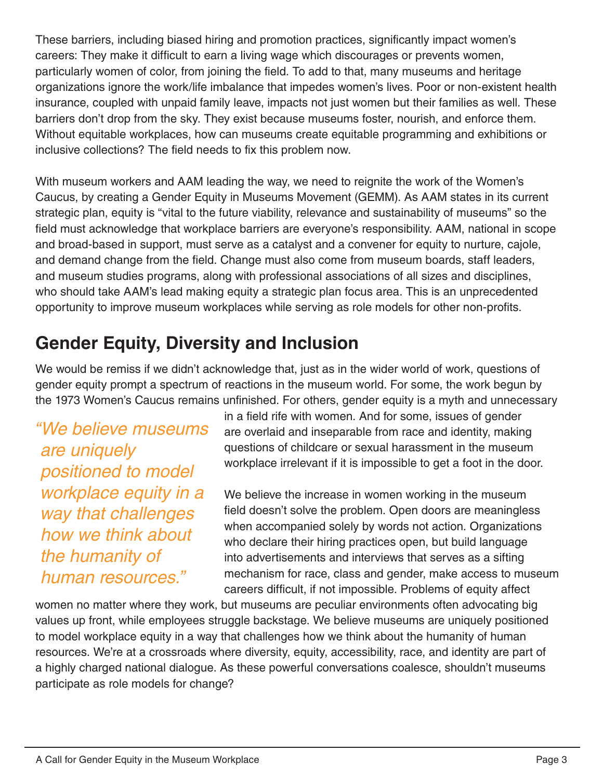These barriers, including biased hiring and promotion practices, significantly impact women's careers: They make it difficult to earn a living wage which discourages or prevents women, particularly women of color, from joining the field. To add to that, many museums and heritage organizations ignore the work/life imbalance that impedes women's lives. Poor or non-existent health insurance, coupled with unpaid family leave, impacts not just women but their families as well. These barriers don't drop from the sky. They exist because museums foster, nourish, and enforce them. Without equitable workplaces, how can museums create equitable programming and exhibitions or inclusive collections? The field needs to fix this problem now.

With museum workers and AAM leading the way, we need to reignite the work of the Women's Caucus, by creating a Gender Equity in Museums Movement (GEMM). As AAM states in its current strategic plan, equity is "vital to the future viability, relevance and sustainability of museums" so the field must acknowledge that workplace barriers are everyone's responsibility. AAM, national in scope and broad-based in support, must serve as a catalyst and a convener for equity to nurture, cajole, and demand change from the field. Change must also come from museum boards, staff leaders, and museum studies programs, along with professional associations of all sizes and disciplines, who should take AAM's lead making equity a strategic plan focus area. This is an unprecedented opportunity to improve museum workplaces while serving as role models for other non-profits.

# **Gender Equity, Diversity and Inclusion**

We would be remiss if we didn't acknowledge that, just as in the wider world of work, questions of gender equity prompt a spectrum of reactions in the museum world. For some, the work begun by the 1973 Women's Caucus remains unfinished. For others, gender equity is a myth and unnecessary

*"We believe museums are uniquely positioned to model workplace equity in a way that challenges how we think about the humanity of human resources."*

in a field rife with women. And for some, issues of gender are overlaid and inseparable from race and identity, making questions of childcare or sexual harassment in the museum workplace irrelevant if it is impossible to get a foot in the door.

We believe the increase in women working in the museum field doesn't solve the problem. Open doors are meaningless when accompanied solely by words not action. Organizations who declare their hiring practices open, but build language into advertisements and interviews that serves as a sifting mechanism for race, class and gender, make access to museum careers difficult, if not impossible. Problems of equity affect

women no matter where they work, but museums are peculiar environments often advocating big values up front, while employees struggle backstage. We believe museums are uniquely positioned to model workplace equity in a way that challenges how we think about the humanity of human resources. We're at a crossroads where diversity, equity, accessibility, race, and identity are part of a highly charged national dialogue. As these powerful conversations coalesce, shouldn't museums participate as role models for change?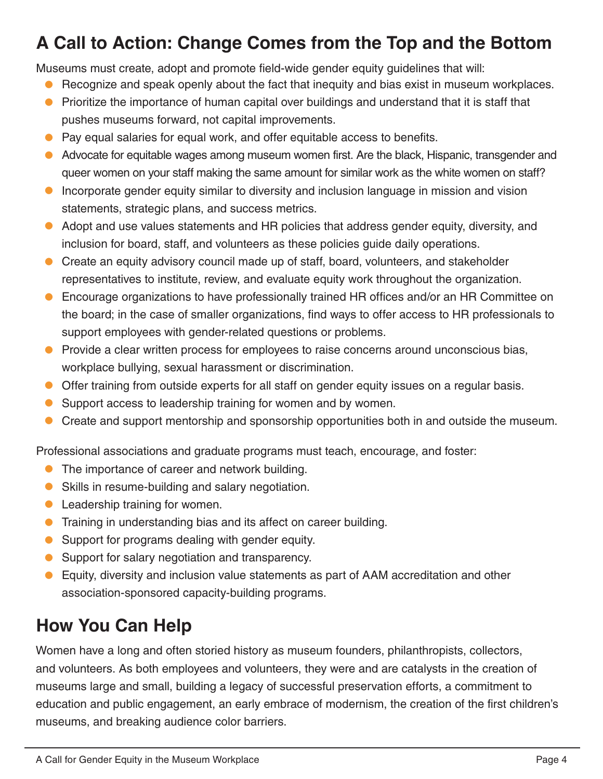# **A Call to Action: Change Comes from the Top and the Bottom**

Museums must create, adopt and promote field-wide gender equity guidelines that will:

- Recognize and speak openly about the fact that inequity and bias exist in museum workplaces.
- Prioritize the importance of human capital over buildings and understand that it is staff that pushes museums forward, not capital improvements.
- **•** Pay equal salaries for equal work, and offer equitable access to benefits.
- Advocate for equitable wages among museum women first. Are the black, Hispanic, transgender and queer women on your staff making the same amount for similar work as the white women on staff?
- **•** Incorporate gender equity similar to diversity and inclusion language in mission and vision statements, strategic plans, and success metrics.
- Adopt and use values statements and HR policies that address gender equity, diversity, and inclusion for board, staff, and volunteers as these policies guide daily operations.
- Create an equity advisory council made up of staff, board, volunteers, and stakeholder representatives to institute, review, and evaluate equity work throughout the organization.
- **•** Encourage organizations to have professionally trained HR offices and/or an HR Committee on the board; in the case of smaller organizations, find ways to offer access to HR professionals to support employees with gender-related questions or problems.
- **•** Provide a clear written process for employees to raise concerns around unconscious bias, workplace bullying, sexual harassment or discrimination.
- Offer training from outside experts for all staff on gender equity issues on a regular basis.
- Support access to leadership training for women and by women.  $\bullet$
- Create and support mentorship and sponsorship opportunities both in and outside the museum.

Professional associations and graduate programs must teach, encourage, and foster:

- The importance of career and network building.
- Skills in resume-building and salary negotiation. •
- **•** Leadership training for women.
- **•** Training in understanding bias and its affect on career building.
- Support for programs dealing with gender equity.
- Support for salary negotiation and transparency.  $\bullet$
- Equity, diversity and inclusion value statements as part of AAM accreditation and other association-sponsored capacity-building programs.  $\bullet$

## **How You Can Help**

Women have a long and often storied history as museum founders, philanthropists, collectors, and volunteers. As both employees and volunteers, they were and are catalysts in the creation of museums large and small, building a legacy of successful preservation efforts, a commitment to education and public engagement, an early embrace of modernism, the creation of the first children's museums, and breaking audience color barriers.